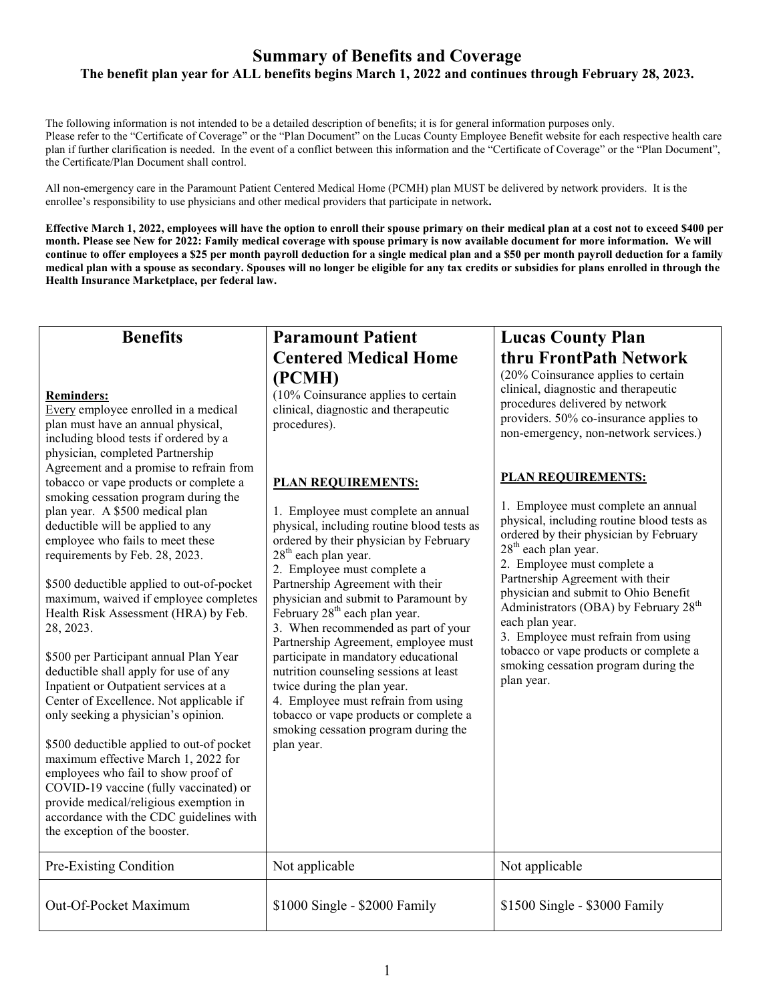## **Summary of Benefits and Coverage The benefit plan year for ALL benefits begins March 1, 2022 and continues through February 28, 2023.**

The following information is not intended to be a detailed description of benefits; it is for general information purposes only. Please refer to the "Certificate of Coverage" or the "Plan Document" on the Lucas County Employee Benefit website for each respective health care plan if further clarification is needed. In the event of a conflict between this information and the "Certificate of Coverage" or the "Plan Document", the Certificate/Plan Document shall control.

All non-emergency care in the Paramount Patient Centered Medical Home (PCMH) plan MUST be delivered by network providers. It is the enrollee's responsibility to use physicians and other medical providers that participate in network**.** 

**Effective March 1, 2022, employees will have the option to enroll their spouse primary on their medical plan at a cost not to exceed \$400 per month. Please see New for 2022: Family medical coverage with spouse primary is now available document for more information. We will continue to offer employees a \$25 per month payroll deduction for a single medical plan and a \$50 per month payroll deduction for a family medical plan with a spouse as secondary. Spouses will no longer be eligible for any tax credits or subsidies for plans enrolled in through the Health Insurance Marketplace, per federal law.** 

| <b>Benefits</b>                                                                                                                                                                                                                                                                                                                                                                                                                                                                                                                                                                                     | <b>Paramount Patient</b>                                                                                                                                                                                                                                                                                                                                                                                                 | <b>Lucas County Plan</b>                                                                                                                                                                                                                                                                                                                                                                                                                                                                          |  |
|-----------------------------------------------------------------------------------------------------------------------------------------------------------------------------------------------------------------------------------------------------------------------------------------------------------------------------------------------------------------------------------------------------------------------------------------------------------------------------------------------------------------------------------------------------------------------------------------------------|--------------------------------------------------------------------------------------------------------------------------------------------------------------------------------------------------------------------------------------------------------------------------------------------------------------------------------------------------------------------------------------------------------------------------|---------------------------------------------------------------------------------------------------------------------------------------------------------------------------------------------------------------------------------------------------------------------------------------------------------------------------------------------------------------------------------------------------------------------------------------------------------------------------------------------------|--|
| <b>Reminders:</b><br>Every employee enrolled in a medical<br>plan must have an annual physical,<br>including blood tests if ordered by a<br>physician, completed Partnership<br>Agreement and a promise to refrain from<br>tobacco or vape products or complete a<br>smoking cessation program during the<br>plan year. A \$500 medical plan<br>deductible will be applied to any<br>employee who fails to meet these<br>requirements by Feb. 28, 2023.<br>\$500 deductible applied to out-of-pocket                                                                                                | <b>Centered Medical Home</b><br>(PCMH)<br>$(10\%$ Coinsurance applies to certain<br>clinical, diagnostic and therapeutic<br>procedures).<br><b>PLAN REQUIREMENTS:</b><br>1. Employee must complete an annual<br>physical, including routine blood tests as<br>ordered by their physician by February<br>$28th$ each plan year.<br>2. Employee must complete a<br>Partnership Agreement with their                        | thru FrontPath Network<br>$(20\%$ Coinsurance applies to certain<br>clinical, diagnostic and therapeutic<br>procedures delivered by network<br>providers. 50% co-insurance applies to<br>non-emergency, non-network services.)<br><b>PLAN REQUIREMENTS:</b><br>1. Employee must complete an annual<br>physical, including routine blood tests as<br>ordered by their physician by February<br>28 <sup>th</sup> each plan year.<br>2. Employee must complete a<br>Partnership Agreement with their |  |
| maximum, waived if employee completes<br>Health Risk Assessment (HRA) by Feb.<br>28, 2023.<br>\$500 per Participant annual Plan Year<br>deductible shall apply for use of any<br>Inpatient or Outpatient services at a<br>Center of Excellence. Not applicable if<br>only seeking a physician's opinion.<br>\$500 deductible applied to out-of pocket<br>maximum effective March 1, 2022 for<br>employees who fail to show proof of<br>COVID-19 vaccine (fully vaccinated) or<br>provide medical/religious exemption in<br>accordance with the CDC guidelines with<br>the exception of the booster. | physician and submit to Paramount by<br>February 28 <sup>th</sup> each plan year.<br>3. When recommended as part of your<br>Partnership Agreement, employee must<br>participate in mandatory educational<br>nutrition counseling sessions at least<br>twice during the plan year.<br>4. Employee must refrain from using<br>tobacco or vape products or complete a<br>smoking cessation program during the<br>plan year. | physician and submit to Ohio Benefit<br>Administrators (OBA) by February 28 <sup>th</sup><br>each plan year.<br>3. Employee must refrain from using<br>tobacco or vape products or complete a<br>smoking cessation program during the<br>plan year.                                                                                                                                                                                                                                               |  |
| Pre-Existing Condition                                                                                                                                                                                                                                                                                                                                                                                                                                                                                                                                                                              | Not applicable                                                                                                                                                                                                                                                                                                                                                                                                           | Not applicable                                                                                                                                                                                                                                                                                                                                                                                                                                                                                    |  |
| Out-Of-Pocket Maximum                                                                                                                                                                                                                                                                                                                                                                                                                                                                                                                                                                               | \$1000 Single - \$2000 Family                                                                                                                                                                                                                                                                                                                                                                                            | \$1500 Single - \$3000 Family                                                                                                                                                                                                                                                                                                                                                                                                                                                                     |  |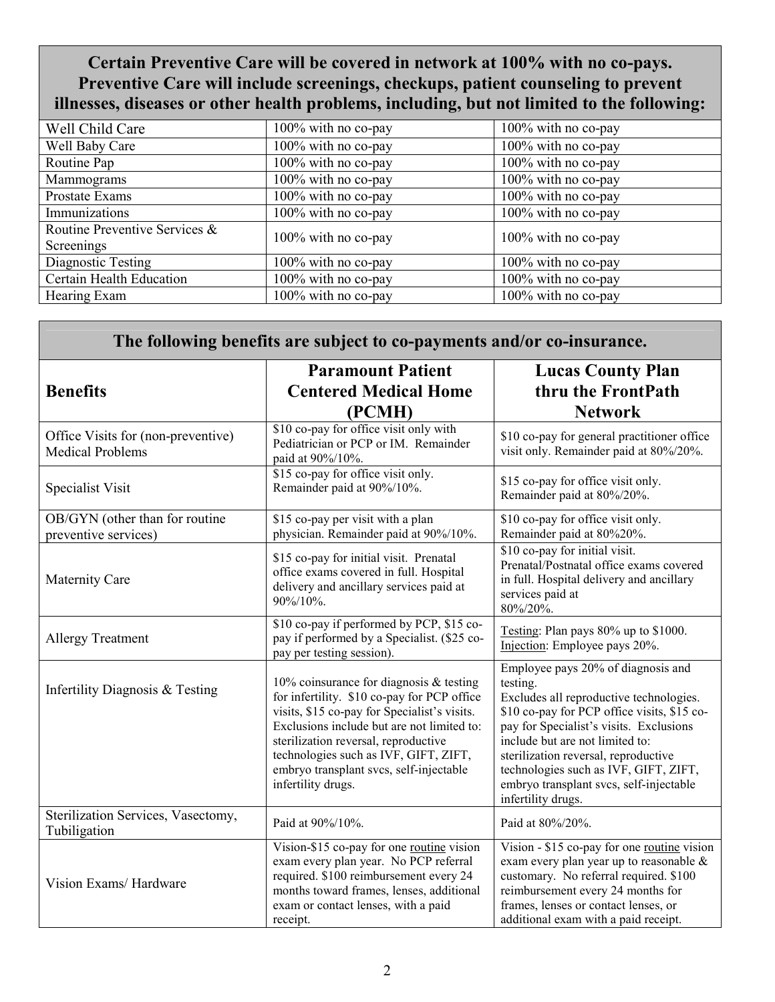**Certain Preventive Care will be covered in network at 100% with no co-pays. Preventive Care will include screenings, checkups, patient counseling to prevent illnesses, diseases or other health problems, including, but not limited to the following:** 

| Well Child Care               | 100% with no co-pay    | 100% with no co-pay |
|-------------------------------|------------------------|---------------------|
| Well Baby Care                | 100% with no co-pay    | 100% with no co-pay |
| Routine Pap                   | 100% with no co-pay    | 100% with no co-pay |
| Mammograms                    | 100% with no co-pay    | 100% with no co-pay |
| Prostate Exams                | 100% with no co-pay    | 100% with no co-pay |
| Immunizations                 | $100\%$ with no co-pay | 100% with no co-pay |
| Routine Preventive Services & | 100% with no co-pay    | 100% with no co-pay |
| Screenings                    |                        |                     |
| Diagnostic Testing            | 100% with no co-pay    | 100% with no co-pay |
| Certain Health Education      | 100% with no co-pay    | 100% with no co-pay |
| Hearing Exam                  | 100% with no co-pay    | 100% with no co-pay |

| The following benefits are subject to co-payments and/or co-insurance. |                                                                                                                                                                                                                                                                                                                                          |                                                                                                                                                                                                                                                                                                                                                                          |
|------------------------------------------------------------------------|------------------------------------------------------------------------------------------------------------------------------------------------------------------------------------------------------------------------------------------------------------------------------------------------------------------------------------------|--------------------------------------------------------------------------------------------------------------------------------------------------------------------------------------------------------------------------------------------------------------------------------------------------------------------------------------------------------------------------|
| <b>Benefits</b>                                                        | <b>Paramount Patient</b><br><b>Centered Medical Home</b><br>(PCMH)                                                                                                                                                                                                                                                                       | <b>Lucas County Plan</b><br>thru the FrontPath<br><b>Network</b>                                                                                                                                                                                                                                                                                                         |
| Office Visits for (non-preventive)<br><b>Medical Problems</b>          | \$10 co-pay for office visit only with<br>Pediatrician or PCP or IM. Remainder<br>paid at 90%/10%.                                                                                                                                                                                                                                       | \$10 co-pay for general practitioner office<br>visit only. Remainder paid at 80%/20%.                                                                                                                                                                                                                                                                                    |
| Specialist Visit                                                       | \$15 co-pay for office visit only.<br>Remainder paid at 90%/10%.                                                                                                                                                                                                                                                                         | \$15 co-pay for office visit only.<br>Remainder paid at 80%/20%.                                                                                                                                                                                                                                                                                                         |
| OB/GYN (other than for routine<br>preventive services)                 | \$15 co-pay per visit with a plan<br>physician. Remainder paid at 90%/10%.                                                                                                                                                                                                                                                               | \$10 co-pay for office visit only.<br>Remainder paid at 80%20%.                                                                                                                                                                                                                                                                                                          |
| <b>Maternity Care</b>                                                  | \$15 co-pay for initial visit. Prenatal<br>office exams covered in full. Hospital<br>delivery and ancillary services paid at<br>90%/10%.                                                                                                                                                                                                 | \$10 co-pay for initial visit.<br>Prenatal/Postnatal office exams covered<br>in full. Hospital delivery and ancillary<br>services paid at<br>80%/20%.                                                                                                                                                                                                                    |
| <b>Allergy Treatment</b>                                               | \$10 co-pay if performed by PCP, \$15 co-<br>pay if performed by a Specialist. (\$25 co-<br>pay per testing session).                                                                                                                                                                                                                    | Testing: Plan pays 80% up to \$1000.<br>Injection: Employee pays 20%.                                                                                                                                                                                                                                                                                                    |
| Infertility Diagnosis & Testing                                        | 10% coinsurance for diagnosis $&$ testing<br>for infertility. \$10 co-pay for PCP office<br>visits, \$15 co-pay for Specialist's visits.<br>Exclusions include but are not limited to:<br>sterilization reversal, reproductive<br>technologies such as IVF, GIFT, ZIFT,<br>embryo transplant svcs, self-injectable<br>infertility drugs. | Employee pays 20% of diagnosis and<br>testing.<br>Excludes all reproductive technologies.<br>\$10 co-pay for PCP office visits, \$15 co-<br>pay for Specialist's visits. Exclusions<br>include but are not limited to:<br>sterilization reversal, reproductive<br>technologies such as IVF, GIFT, ZIFT,<br>embryo transplant svcs, self-injectable<br>infertility drugs. |
| Sterilization Services, Vasectomy,<br>Tubiligation                     | Paid at 90%/10%.                                                                                                                                                                                                                                                                                                                         | Paid at 80%/20%.                                                                                                                                                                                                                                                                                                                                                         |
| Vision Exams/Hardware                                                  | Vision-\$15 co-pay for one routine vision<br>exam every plan year. No PCP referral<br>required. \$100 reimbursement every 24<br>months toward frames, lenses, additional<br>exam or contact lenses, with a paid<br>receipt.                                                                                                              | Vision - \$15 co-pay for one routine vision<br>exam every plan year up to reasonable $\&$<br>customary. No referral required. \$100<br>reimbursement every 24 months for<br>frames, lenses or contact lenses, or<br>additional exam with a paid receipt.                                                                                                                 |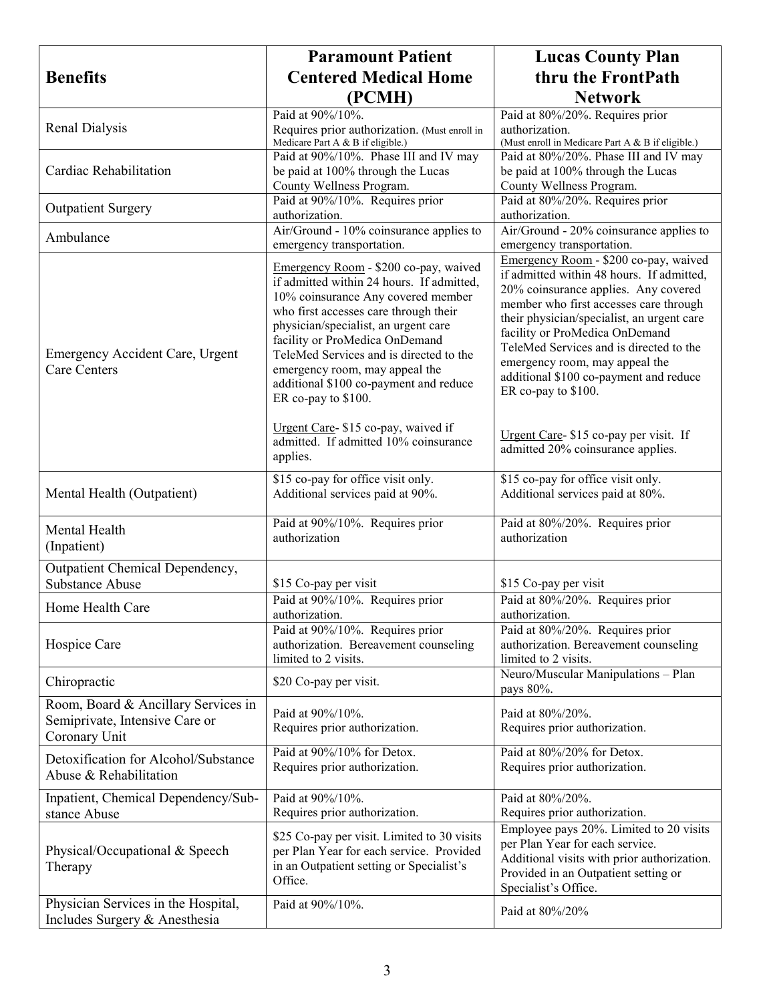|                                                                                        | <b>Paramount Patient</b>                                                                                                                                                                                                                                                                                                                                                                  | <b>Lucas County Plan</b>                                                                                                                                                                                                                                                                                                                                                                           |
|----------------------------------------------------------------------------------------|-------------------------------------------------------------------------------------------------------------------------------------------------------------------------------------------------------------------------------------------------------------------------------------------------------------------------------------------------------------------------------------------|----------------------------------------------------------------------------------------------------------------------------------------------------------------------------------------------------------------------------------------------------------------------------------------------------------------------------------------------------------------------------------------------------|
| <b>Benefits</b>                                                                        | <b>Centered Medical Home</b>                                                                                                                                                                                                                                                                                                                                                              | thru the FrontPath                                                                                                                                                                                                                                                                                                                                                                                 |
|                                                                                        | (PCMH)                                                                                                                                                                                                                                                                                                                                                                                    | <b>Network</b>                                                                                                                                                                                                                                                                                                                                                                                     |
| Renal Dialysis                                                                         | Paid at 90%/10%.<br>Requires prior authorization. (Must enroll in<br>Medicare Part A & B if eligible.)                                                                                                                                                                                                                                                                                    | Paid at 80%/20%. Requires prior<br>authorization.<br>(Must enroll in Medicare Part A & B if eligible.)                                                                                                                                                                                                                                                                                             |
| Cardiac Rehabilitation                                                                 | Paid at 90%/10%. Phase III and IV may<br>be paid at 100% through the Lucas<br>County Wellness Program.                                                                                                                                                                                                                                                                                    | Paid at 80%/20%. Phase III and IV may<br>be paid at 100% through the Lucas<br>County Wellness Program.                                                                                                                                                                                                                                                                                             |
| <b>Outpatient Surgery</b>                                                              | Paid at 90%/10%. Requires prior<br>authorization.                                                                                                                                                                                                                                                                                                                                         | Paid at 80%/20%. Requires prior<br>authorization.                                                                                                                                                                                                                                                                                                                                                  |
| Ambulance                                                                              | Air/Ground - 10% coinsurance applies to<br>emergency transportation.                                                                                                                                                                                                                                                                                                                      | Air/Ground - 20% coinsurance applies to<br>emergency transportation.                                                                                                                                                                                                                                                                                                                               |
| Emergency Accident Care, Urgent<br><b>Care Centers</b>                                 | Emergency Room - \$200 co-pay, waived<br>if admitted within 24 hours. If admitted,<br>10% coinsurance Any covered member<br>who first accesses care through their<br>physician/specialist, an urgent care<br>facility or ProMedica OnDemand<br>TeleMed Services and is directed to the<br>emergency room, may appeal the<br>additional \$100 co-payment and reduce<br>ER co-pay to \$100. | Emergency Room - \$200 co-pay, waived<br>if admitted within 48 hours. If admitted,<br>20% coinsurance applies. Any covered<br>member who first accesses care through<br>their physician/specialist, an urgent care<br>facility or ProMedica OnDemand<br>TeleMed Services and is directed to the<br>emergency room, may appeal the<br>additional \$100 co-payment and reduce<br>ER co-pay to \$100. |
|                                                                                        | Urgent Care-\$15 co-pay, waived if<br>admitted. If admitted 10% coinsurance<br>applies.                                                                                                                                                                                                                                                                                                   | Urgent Care- \$15 co-pay per visit. If<br>admitted 20% coinsurance applies.                                                                                                                                                                                                                                                                                                                        |
| Mental Health (Outpatient)                                                             | \$15 co-pay for office visit only.<br>Additional services paid at 90%.                                                                                                                                                                                                                                                                                                                    | \$15 co-pay for office visit only.<br>Additional services paid at 80%.                                                                                                                                                                                                                                                                                                                             |
| Mental Health<br>(Inpatient)                                                           | Paid at 90%/10%. Requires prior<br>authorization                                                                                                                                                                                                                                                                                                                                          | Paid at 80%/20%. Requires prior<br>authorization                                                                                                                                                                                                                                                                                                                                                   |
| Outpatient Chemical Dependency,<br><b>Substance Abuse</b>                              | \$15 Co-pay per visit                                                                                                                                                                                                                                                                                                                                                                     | \$15 Co-pay per visit                                                                                                                                                                                                                                                                                                                                                                              |
| Home Health Care                                                                       | Paid at 90%/10%. Requires prior<br>authorization.                                                                                                                                                                                                                                                                                                                                         | Paid at 80%/20%. Requires prior<br>authorization.                                                                                                                                                                                                                                                                                                                                                  |
| Hospice Care                                                                           | Paid at 90%/10%. Requires prior<br>authorization. Bereavement counseling<br>limited to 2 visits.                                                                                                                                                                                                                                                                                          | Paid at 80%/20%. Requires prior<br>authorization. Bereavement counseling<br>limited to 2 visits.                                                                                                                                                                                                                                                                                                   |
| Chiropractic                                                                           | \$20 Co-pay per visit.                                                                                                                                                                                                                                                                                                                                                                    | Neuro/Muscular Manipulations - Plan<br>pays 80%.                                                                                                                                                                                                                                                                                                                                                   |
| Room, Board & Ancillary Services in<br>Semiprivate, Intensive Care or<br>Coronary Unit | Paid at 90%/10%.<br>Requires prior authorization.                                                                                                                                                                                                                                                                                                                                         | Paid at 80%/20%.<br>Requires prior authorization.                                                                                                                                                                                                                                                                                                                                                  |
| Detoxification for Alcohol/Substance<br>Abuse & Rehabilitation                         | Paid at 90%/10% for Detox.<br>Requires prior authorization.                                                                                                                                                                                                                                                                                                                               | Paid at 80%/20% for Detox.<br>Requires prior authorization.                                                                                                                                                                                                                                                                                                                                        |
| Inpatient, Chemical Dependency/Sub-<br>stance Abuse                                    | Paid at 90%/10%.<br>Requires prior authorization.                                                                                                                                                                                                                                                                                                                                         | Paid at 80%/20%.<br>Requires prior authorization.                                                                                                                                                                                                                                                                                                                                                  |
| Physical/Occupational & Speech<br>Therapy                                              | \$25 Co-pay per visit. Limited to 30 visits<br>per Plan Year for each service. Provided<br>in an Outpatient setting or Specialist's<br>Office.                                                                                                                                                                                                                                            | Employee pays 20%. Limited to 20 visits<br>per Plan Year for each service.<br>Additional visits with prior authorization.<br>Provided in an Outpatient setting or<br>Specialist's Office.                                                                                                                                                                                                          |
| Physician Services in the Hospital,<br>Includes Surgery & Anesthesia                   | Paid at 90%/10%.                                                                                                                                                                                                                                                                                                                                                                          | Paid at 80%/20%                                                                                                                                                                                                                                                                                                                                                                                    |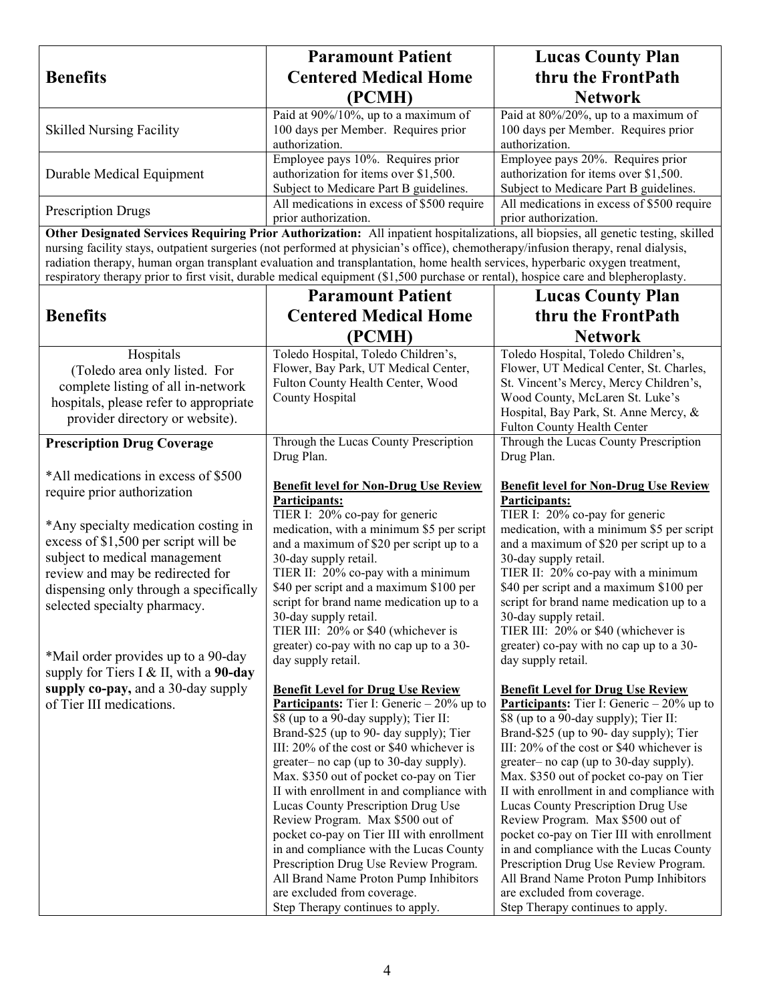|                                               | <b>Paramount Patient</b>                                                                                                            | <b>Lucas County Plan</b>                                                              |
|-----------------------------------------------|-------------------------------------------------------------------------------------------------------------------------------------|---------------------------------------------------------------------------------------|
| <b>Benefits</b>                               | <b>Centered Medical Home</b>                                                                                                        | thru the FrontPath                                                                    |
|                                               | (PCMH)                                                                                                                              | <b>Network</b>                                                                        |
|                                               | Paid at 90%/10%, up to a maximum of                                                                                                 | Paid at 80%/20%, up to a maximum of                                                   |
| <b>Skilled Nursing Facility</b>               | 100 days per Member. Requires prior                                                                                                 | 100 days per Member. Requires prior                                                   |
|                                               | authorization.                                                                                                                      | authorization.                                                                        |
|                                               | Employee pays 10%. Requires prior                                                                                                   | Employee pays 20%. Requires prior                                                     |
| Durable Medical Equipment                     | authorization for items over \$1,500.                                                                                               | authorization for items over \$1,500.                                                 |
|                                               | Subject to Medicare Part B guidelines.                                                                                              | Subject to Medicare Part B guidelines.                                                |
| <b>Prescription Drugs</b>                     | All medications in excess of \$500 require<br>prior authorization.                                                                  | All medications in excess of \$500 require<br>prior authorization.                    |
|                                               | Other Designated Services Requiring Prior Authorization: All inpatient hospitalizations, all biopsies, all genetic testing, skilled |                                                                                       |
|                                               | nursing facility stays, outpatient surgeries (not performed at physician's office), chemotherapy/infusion therapy, renal dialysis,  |                                                                                       |
|                                               | radiation therapy, human organ transplant evaluation and transplantation, home health services, hyperbaric oxygen treatment,        |                                                                                       |
|                                               | respiratory therapy prior to first visit, durable medical equipment (\$1,500 purchase or rental), hospice care and blepheroplasty.  |                                                                                       |
|                                               | <b>Paramount Patient</b>                                                                                                            | <b>Lucas County Plan</b>                                                              |
| <b>Benefits</b>                               | <b>Centered Medical Home</b>                                                                                                        | thru the FrontPath                                                                    |
|                                               | (PCMH)                                                                                                                              | <b>Network</b>                                                                        |
| Hospitals                                     | Toledo Hospital, Toledo Children's,                                                                                                 | Toledo Hospital, Toledo Children's,                                                   |
| (Toledo area only listed. For                 | Flower, Bay Park, UT Medical Center,                                                                                                | Flower, UT Medical Center, St. Charles,                                               |
| complete listing of all in-network            | Fulton County Health Center, Wood                                                                                                   | St. Vincent's Mercy, Mercy Children's,                                                |
| hospitals, please refer to appropriate        | County Hospital                                                                                                                     | Wood County, McLaren St. Luke's                                                       |
| provider directory or website).               |                                                                                                                                     | Hospital, Bay Park, St. Anne Mercy, &                                                 |
|                                               |                                                                                                                                     | Fulton County Health Center                                                           |
| <b>Prescription Drug Coverage</b>             | Through the Lucas County Prescription<br>Drug Plan.                                                                                 | Through the Lucas County Prescription<br>Drug Plan.                                   |
| *All medications in excess of \$500           |                                                                                                                                     |                                                                                       |
| require prior authorization                   | <b>Benefit level for Non-Drug Use Review</b>                                                                                        | <b>Benefit level for Non-Drug Use Review</b>                                          |
|                                               | Participants:                                                                                                                       | Participants:                                                                         |
| *Any specialty medication costing in          | TIER I: 20% co-pay for generic                                                                                                      | TIER I: 20% co-pay for generic                                                        |
| excess of \$1,500 per script will be          | medication, with a minimum \$5 per script<br>and a maximum of \$20 per script up to a                                               | medication, with a minimum \$5 per script<br>and a maximum of \$20 per script up to a |
| subject to medical management                 | 30-day supply retail.                                                                                                               | 30-day supply retail.                                                                 |
| review and may be redirected for              | TIER II: 20% co-pay with a minimum                                                                                                  | TIER II: 20% co-pay with a minimum                                                    |
| dispensing only through a specifically        | \$40 per script and a maximum \$100 per                                                                                             | \$40 per script and a maximum \$100 per                                               |
| selected specialty pharmacy.                  | script for brand name medication up to a                                                                                            | script for brand name medication up to a                                              |
|                                               | 30-day supply retail.                                                                                                               | 30-day supply retail.                                                                 |
|                                               | TIER III: 20% or \$40 (whichever is<br>greater) co-pay with no cap up to a 30-                                                      | TIER III: 20% or \$40 (whichever is<br>greater) co-pay with no cap up to a 30-        |
| *Mail order provides up to a 90-day           | day supply retail.                                                                                                                  | day supply retail.                                                                    |
| supply for Tiers I & II, with a <b>90-day</b> |                                                                                                                                     |                                                                                       |
| supply co-pay, and a 30-day supply            | <b>Benefit Level for Drug Use Review</b>                                                                                            | <b>Benefit Level for Drug Use Review</b>                                              |
| of Tier III medications.                      | <b>Participants:</b> Tier I: Generic $-20\%$ up to                                                                                  | <b>Participants:</b> Tier I: Generic $-20\%$ up to                                    |
|                                               | \$8 (up to a 90-day supply); Tier II:                                                                                               | \$8 (up to a 90-day supply); Tier II:                                                 |
|                                               | Brand-\$25 (up to 90- day supply); Tier<br>III: 20% of the cost or \$40 whichever is                                                | Brand-\$25 (up to 90- day supply); Tier<br>III: 20% of the cost or \$40 whichever is  |
|                                               | greater- no cap (up to 30-day supply).                                                                                              | greater- no cap (up to 30-day supply).                                                |
|                                               | Max. \$350 out of pocket co-pay on Tier                                                                                             | Max. \$350 out of pocket co-pay on Tier                                               |
|                                               | II with enrollment in and compliance with                                                                                           | II with enrollment in and compliance with                                             |
|                                               | Lucas County Prescription Drug Use                                                                                                  | Lucas County Prescription Drug Use                                                    |
|                                               | Review Program. Max \$500 out of                                                                                                    | Review Program. Max \$500 out of                                                      |
|                                               | pocket co-pay on Tier III with enrollment<br>in and compliance with the Lucas County                                                | pocket co-pay on Tier III with enrollment<br>in and compliance with the Lucas County  |
|                                               | Prescription Drug Use Review Program.                                                                                               | Prescription Drug Use Review Program.                                                 |
|                                               | All Brand Name Proton Pump Inhibitors                                                                                               | All Brand Name Proton Pump Inhibitors                                                 |
|                                               | are excluded from coverage.                                                                                                         | are excluded from coverage.                                                           |
|                                               | Step Therapy continues to apply.                                                                                                    | Step Therapy continues to apply.                                                      |